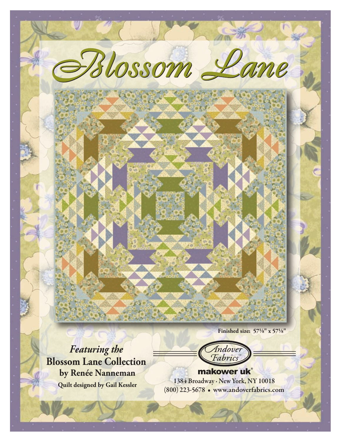**Finished size:**  $57\frac{1}{8}$ **"** x  $57\frac{1}{8}$ "

*Featuring the*  **Blossom Lane Collection by Renée Nanneman**

Indover Fabric

*Blossom Lane Blossom Lane*

**Quilt designed by Gail Kessler** 1384 Broadway · New York, NY 10018 (800) 223-5678 • www.andoverfabrics.com makower uk®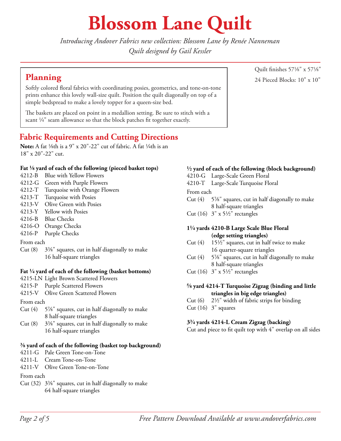# **Blossom Lane Quilt**

*Introducing Andover Fabrics new collection: Blossom Lane by Renée Nanneman Quilt designed by Gail Kessler*

Softly colored floral fabrics with coordinating posies, geometrics, and tone-on-tone prints enhance this lovely wall-size quilt. Position the quilt diagonally on top of a simple bedspread to make a lovely topper for a queen-size bed.

The baskets are placed on point in a medallion setting. Be sure to stitch with a scant  $\frac{1}{4}$ " seam allowance so that the block patches fit together exactly.

### **Fabric Requirements and Cutting Directions**

**Note:** A fat <sup>1</sup>/<sub>8</sub>th is a 9" x 20"-22" cut of fabric. A fat <sup>1</sup>/<sub>4</sub>th is an 18" x 20"-22" cut.

#### **Fat 8 yard of each of the following (pieced basket tops)**

- 4212-B Blue with Yellow Flowers
- 4212-G Green with Purple Flowers
- 4212-T Turquoise with Orange Flowers
- 4213-T Turquoise with Posies
- 4213-V Olive Green with Posies
- 4213-Y Yellow with Posies
- 4216-B Blue Checks
- 4216-O Orange Checks
- 4216-P Purple Checks

#### From each

Cut  $(8)$  3<sup>3</sup>/<sub>8</sub>" squares, cut in half diagonally to make 16 half-square triangles

#### **Fat 4 yard of each of the following (basket bottoms)**

- 4215-LN Light Brown Scattered Flowers
- 4215-P Purple Scattered Flowers
- 4215-V Olive Green Scattered Flowers

#### From each

- Cut  $(4)$  5%" squares, cut in half diagonally to make 8 half-square triangles
- Cut  $(8)$  3<sup>3</sup>/<sub>8</sub>" squares, cut in half diagonally to make 16 half-square triangles

#### **s yard of each of the following (basket top background)**

- 4211-G Pale Green Tone-on-Tone
- 4211-L Cream Tone-on-Tone
- 4211-V Olive Green Tone-on-Tone

#### From each

Cut  $(32)$   $3\frac{3}{8}$ " squares, cut in half diagonally to make 64 half-square triangles

### **2 yard of each of the following (block background)**

- 4210-G Large-Scale Green Floral
- 4210-T Large-Scale Turquoise Floral

#### From each

- Cut  $(4)$  5<sup>7</sup>/<sub>8</sub>" squares, cut in half diagonally to make 8 half-square triangles
- Cut (16)  $3" \times 5\frac{1}{2}$ " rectangles

#### **14 yards 4210-B Large Scale Blue Floral (edge setting triangles)**

- Cut  $(4)$  15<sup>1</sup>/<sub>2</sub>" squares, cut in half twice to make 16 quarter-square triangles
- Cut  $(4)$  5%" squares, cut in half diagonally to make 8 half-square triangles
- Cut (16)  $3'' \times 5\frac{1}{2}$ " rectangles

#### **d yard 4214-T Turquoise Zigzag (binding and little triangles in big edge triangles)**

- Cut  $(6)$  2<sup>1</sup>/<sub>2</sub>" width of fabric strips for binding
- Cut  $(16)$  3" squares

#### **3w yards 4214-L Cream Zigzag (backing)**

Cut and piece to fit quilt top with 4" overlap on all sides

Quilt finishes 571/8" x 571/8" **Planning** 24 Pieced Blocks: 10" x 10"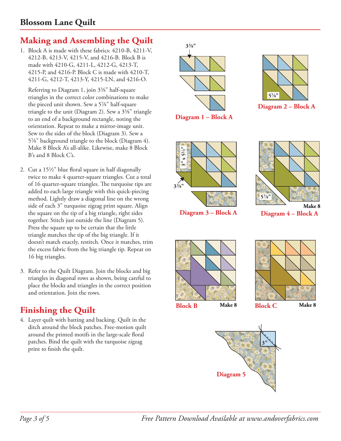## **Making and Assembling the Quilt**

1. Block A is made with these fabrics: 4210-B, 4211-V, 4212-B, 4213-V, 4215-V, and 4216-B. Block B is made with 4210-G, 4211-L, 4212-G, 4213-T, 4215-P, and 4216-P. Block C is made with 4210-T, 4211-G, 4212-T, 4213-Y, 4215-LN, and 4216-O.

Referring to Diagram 1, join 3<sup>3</sup>/<sub>8</sub>" half-square triangles in the correct color combinations to make the pieced unit shown. Sew a 5%" half-square triangle to the unit (Diagram 2). Sew a  $3\frac{3}{8}$ " triangle to an end of a background rectangle, noting the orientation. Repeat to make a mirror-image unit. Sew to the sides of the block (Diagram 3). Sew a 5%" background triangle to the block (Diagram 4). Make 8 Block A's all-alike. Likewise, make 8 Block B's and 8 Block C's.

- 2. Cut a  $15\frac{1}{2}$ " blue floral square in half diagonally twice to make 4 quarter-square triangles. Cut a total of 16 quarter-square triangles. The turquoise tips are added to each large triangle with this quick-piecing method. Lightly draw a diagonal line on the wrong side of each 3" turquoise zigzag print square. Align the square on the tip of a big triangle, right sides together. Stitch just outside the line (Diagram 5). Press the square up to be certain that the little triangle matches the tip of the big triangle. If it doesn't match exactly, restitch. Once it matches, trim the excess fabric from the big triangle tip. Repeat on 16 big triangles.
- 3. Refer to the Quilt Diagram. Join the blocks and big triangles in diagonal rows as shown, being careful to place the blocks and triangles in the correct position and orientation. Join the rows.

# **Finishing the Quilt**

4. Layer quilt with batting and backing. Quilt in the ditch around the block patches. Free-motion quilt around the printed motifs in the large-scale floral patches. Bind the quilt with the turquoise zigzag print to finish the quilt.

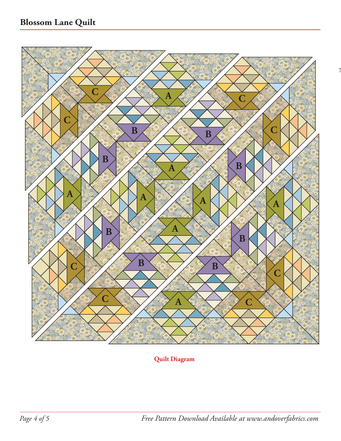

**Quilt Diagram**

**72" x 702"**